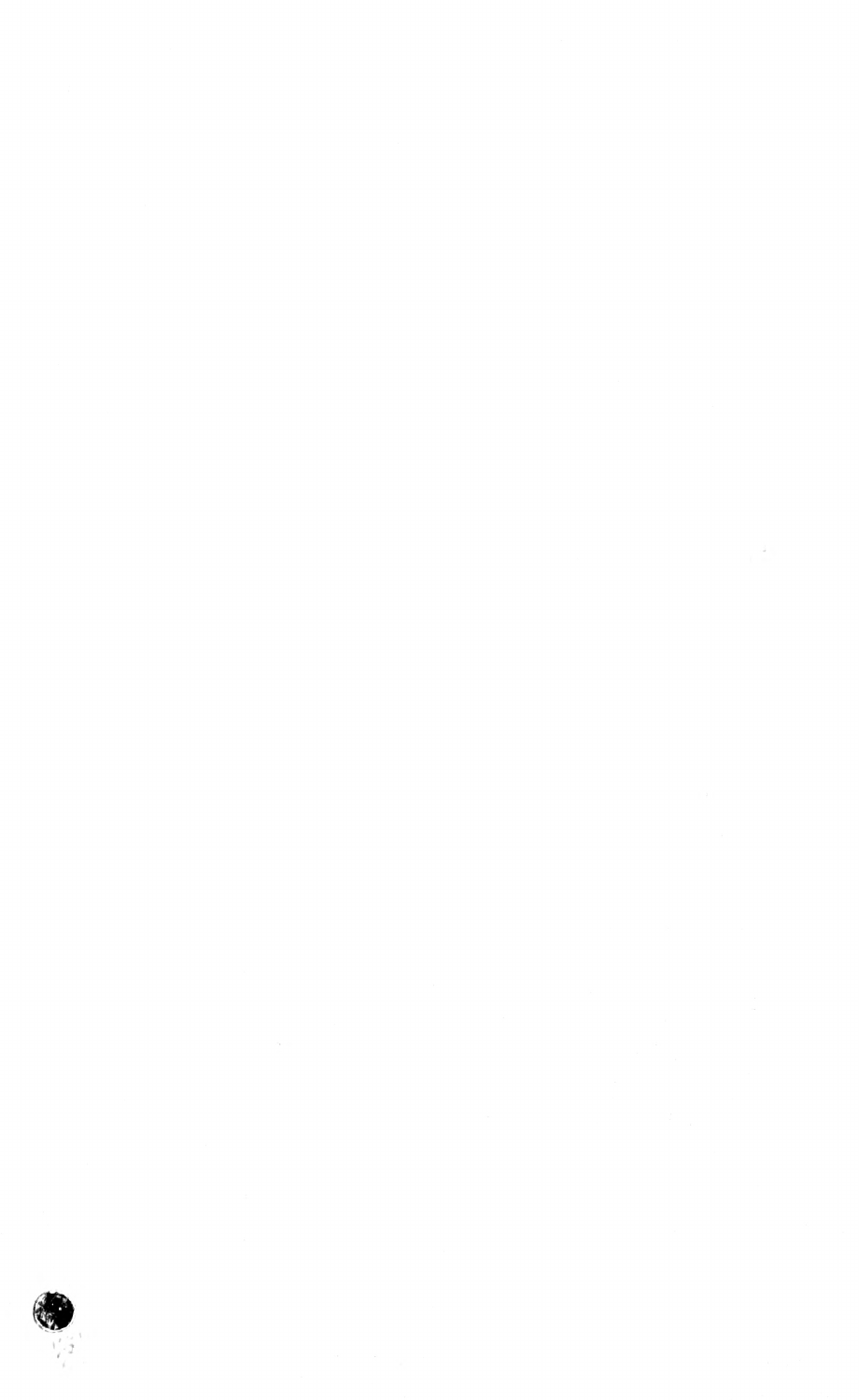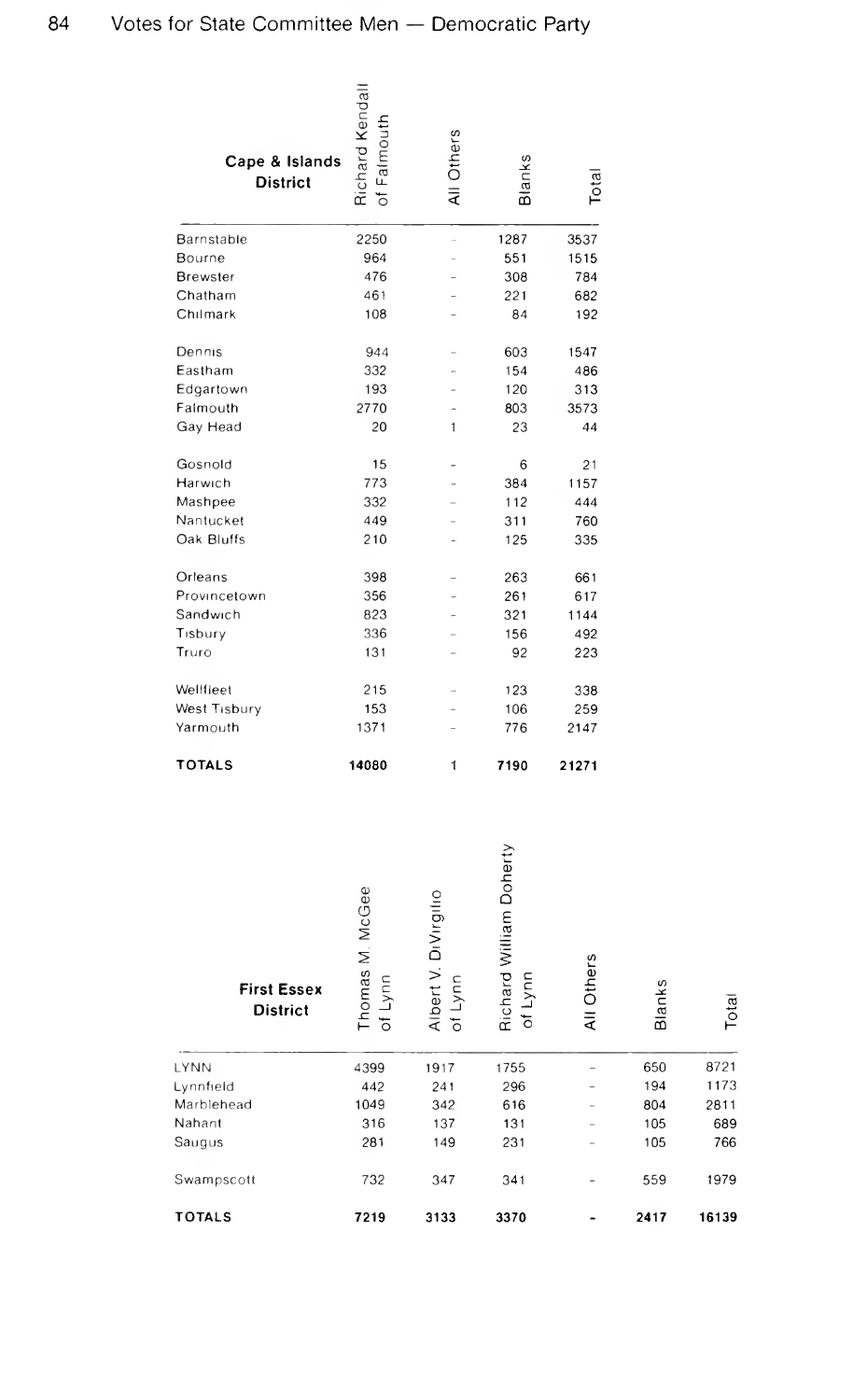| Cape & Islands<br><b>District</b>     | Richard Kendall<br>of Falmouth | All Others           | Blanks                  | Total      |            |                        |
|---------------------------------------|--------------------------------|----------------------|-------------------------|------------|------------|------------------------|
| Barnstable                            | 2250                           | i,                   | 1287                    | 3537       |            |                        |
| Bourne                                | 964                            | J.                   | 551                     | 1515       |            |                        |
| <b>Brewster</b>                       | 476                            |                      | 308                     | 784        |            |                        |
| Chatham                               | 461                            | i,                   | 221                     | 682        |            |                        |
| Chilmark                              | 108                            |                      | 84                      | 192        |            |                        |
| Dennis                                | 944                            |                      | 603                     | 1547       |            |                        |
| Eastham                               | 332                            |                      | 154                     | 486        |            |                        |
| Edgartown                             | 193                            |                      | 120                     | 313        |            |                        |
| Falmouth<br>Gay Head                  | 2770<br>20                     | J.<br>1              | 803<br>23               | 3573       |            |                        |
|                                       |                                |                      |                         | 44         |            |                        |
| Gosnold                               | 15                             |                      | 6                       | 21         |            |                        |
| Harwich                               | 773                            |                      | 384                     | 1157       |            |                        |
| Mashpee                               | 332                            |                      | 112                     | 444        |            |                        |
| Nantucket<br>Oak Bluffs               | 449<br>210                     |                      | 311<br>125              | 760<br>335 |            |                        |
|                                       |                                |                      |                         |            |            |                        |
| Orleans                               | 398                            | i.                   | 263                     | 661        |            |                        |
| Provincetown                          | 356                            |                      | 261                     | 617        |            |                        |
| Sandwich                              | 823                            |                      | 321                     | 1144       |            |                        |
| Tisbury<br>Truro                      | 336<br>131                     |                      | 156<br>92               | 492<br>223 |            |                        |
|                                       |                                |                      |                         |            |            |                        |
| Wellfleet                             | 215                            |                      | 123                     | 338        |            |                        |
| West Tisbury                          | 153                            |                      | 106                     | 259        |            |                        |
| Yarmouth                              | 1371                           |                      | 776                     | 2147       |            |                        |
| <b>TOTALS</b>                         | 14080                          | t                    | 7190                    | 21271      |            |                        |
|                                       | Thomas M. McGee                | Albert V. DrVirgilio | Richard William Doherty |            |            |                        |
| <b>First Essex</b><br><b>District</b> | of Lynn                        | of Lynn              | of Lynn                 | All Others | Blanks     | $\overline{\text{at}}$ |
| LYNN                                  | 4399                           | 1917                 | 1755                    | i.         | 650        | 8721                   |
| Lynnfield                             | 442                            | 241                  | 296                     | L          | 194        | 1173                   |
| Marblehead<br>Nahant                  | 1049<br>316                    | 342<br>137           | 616<br>131              |            | 804<br>105 | 2811<br>689            |
| Saugus                                | 281                            | 149                  | 231                     |            | 105        | 766                    |
|                                       |                                |                      |                         |            |            |                        |
| Swampscott                            | 732                            | 347                  | 341                     |            | 559        | 1979                   |
| <b>TOTALS</b>                         | 7219                           | 3133                 | 3370                    |            | 2417       | 16139                  |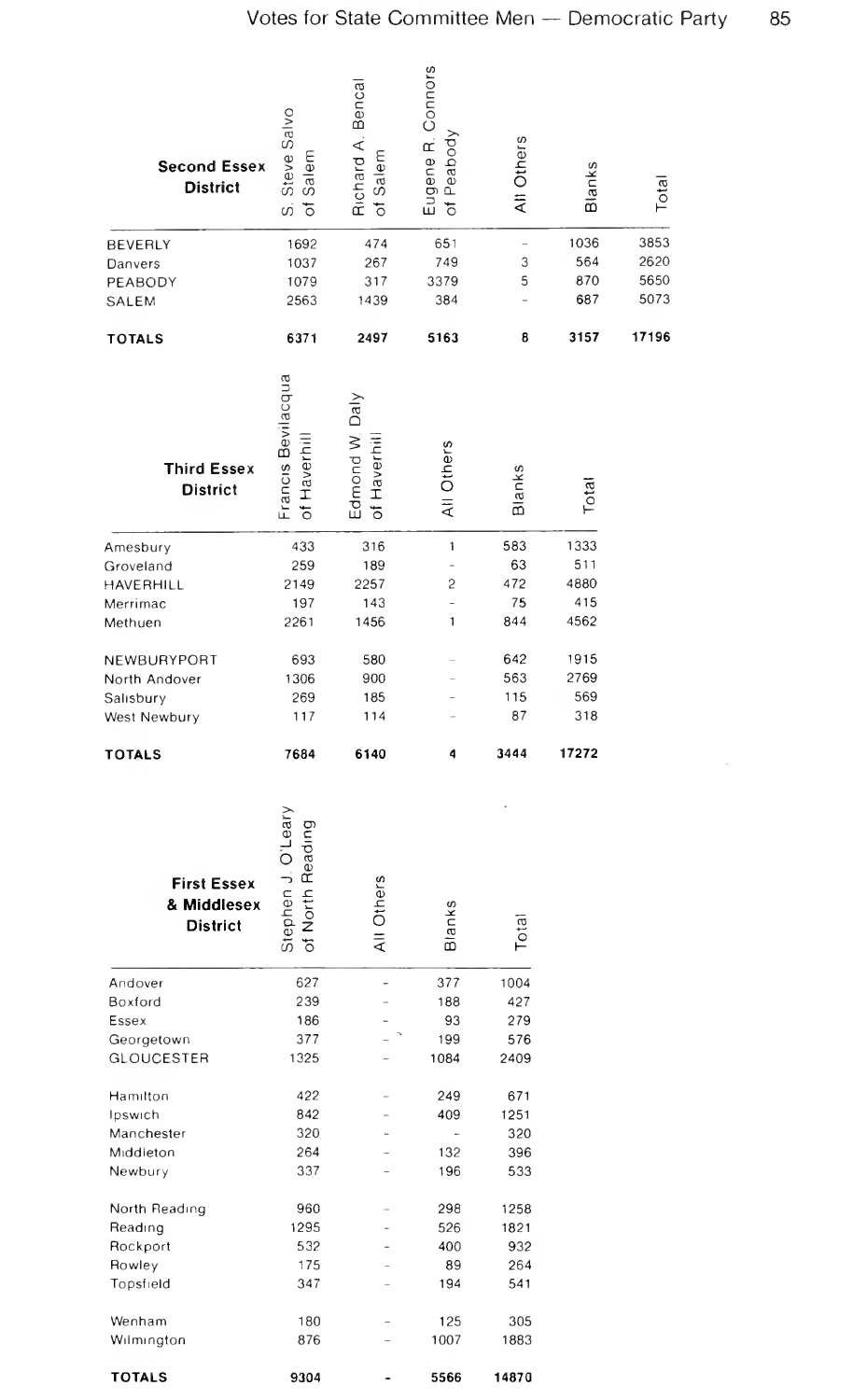| <b>Second Essex</b><br><b>District</b>                         | Steve Salvo<br>Salem<br>S<br>đ         | Richard A. Bencal<br>of Salem     | Eugene R. Connors<br>of Peabody                      | All Others                        | Blanks                             | Total                        |
|----------------------------------------------------------------|----------------------------------------|-----------------------------------|------------------------------------------------------|-----------------------------------|------------------------------------|------------------------------|
| BEVERLY<br>Danvers<br>PEABODY<br>SALEM                         | 1692<br>1037<br>1079<br>2563           | 474<br>267<br>317<br>1439         | 651<br>749<br>3379<br>384                            | ÷<br>3<br>5<br>i.                 | 1036<br>564<br>870<br>687          | 3853<br>2620<br>5650<br>5073 |
| <b>TOTALS</b>                                                  | 6371                                   | 2497                              | 5163                                                 | 8                                 | 3157                               | 17196                        |
| <b>Third Essex</b><br><b>District</b>                          | Francis Bevilacqua<br>of Haverhill     | Edmond W. Daly<br>of Haverhill    | All Others                                           | Blanks                            | Total                              |                              |
| Amesbury<br>Groveland<br>HAVERHILL<br>Merrimac<br>Methuen      | 433<br>259<br>2149<br>197<br>2261      | 316<br>189<br>2257<br>143<br>1456 | 1<br>$\overline{c}$<br>L,<br>1                       | 583<br>63<br>472<br>75<br>844     | 1333<br>511<br>4880<br>415<br>4562 |                              |
| NEWBURYPORT<br>North Andover<br>Salisbury<br>West Newbury      | 693<br>1306<br>269<br>117              | 580<br>900<br>185<br>114          |                                                      | 642<br>563<br>115<br>87           | 1915<br>2769<br>569<br>318         |                              |
| <b>TOTALS</b>                                                  | 7684                                   | 6140                              | 4                                                    | 3444                              | 17272                              |                              |
| <b>First Essex</b><br>& Middlesex<br><b>District</b>           | Stephen J. O'Leary<br>of North Reading | All Others                        | Blanks                                               | Total                             |                                    |                              |
| Andover<br>Boxford<br>Essex<br>Georgetown<br><b>GLOUCESTER</b> | 627<br>239<br>186<br>377<br>1325       |                                   | 377<br>188<br>93<br>199<br>1084                      | 1004<br>427<br>279<br>576<br>2409 |                                    |                              |
| Hamilton<br>Ipswich<br>Manchester<br>Middleton<br>Newbury      | 422<br>842<br>320<br>264<br>337        |                                   | 249<br>409<br>$\overline{\phantom{a}}$<br>132<br>196 | 671<br>1251<br>320<br>396<br>533  |                                    |                              |
| North Reading<br>Reading<br>Rockport                           | 960<br>1295<br>532                     | $\overline{\phantom{0}}$          | 298<br>526<br>400                                    | 1258<br>1821<br>932               |                                    |                              |
| Rowley<br>Topsfield                                            | 175<br>347                             |                                   | 89<br>194                                            | 264<br>541                        |                                    |                              |
| Wenham<br>Wilmington                                           | 180<br>876                             |                                   | 125<br>1007                                          | 305<br>1883                       |                                    |                              |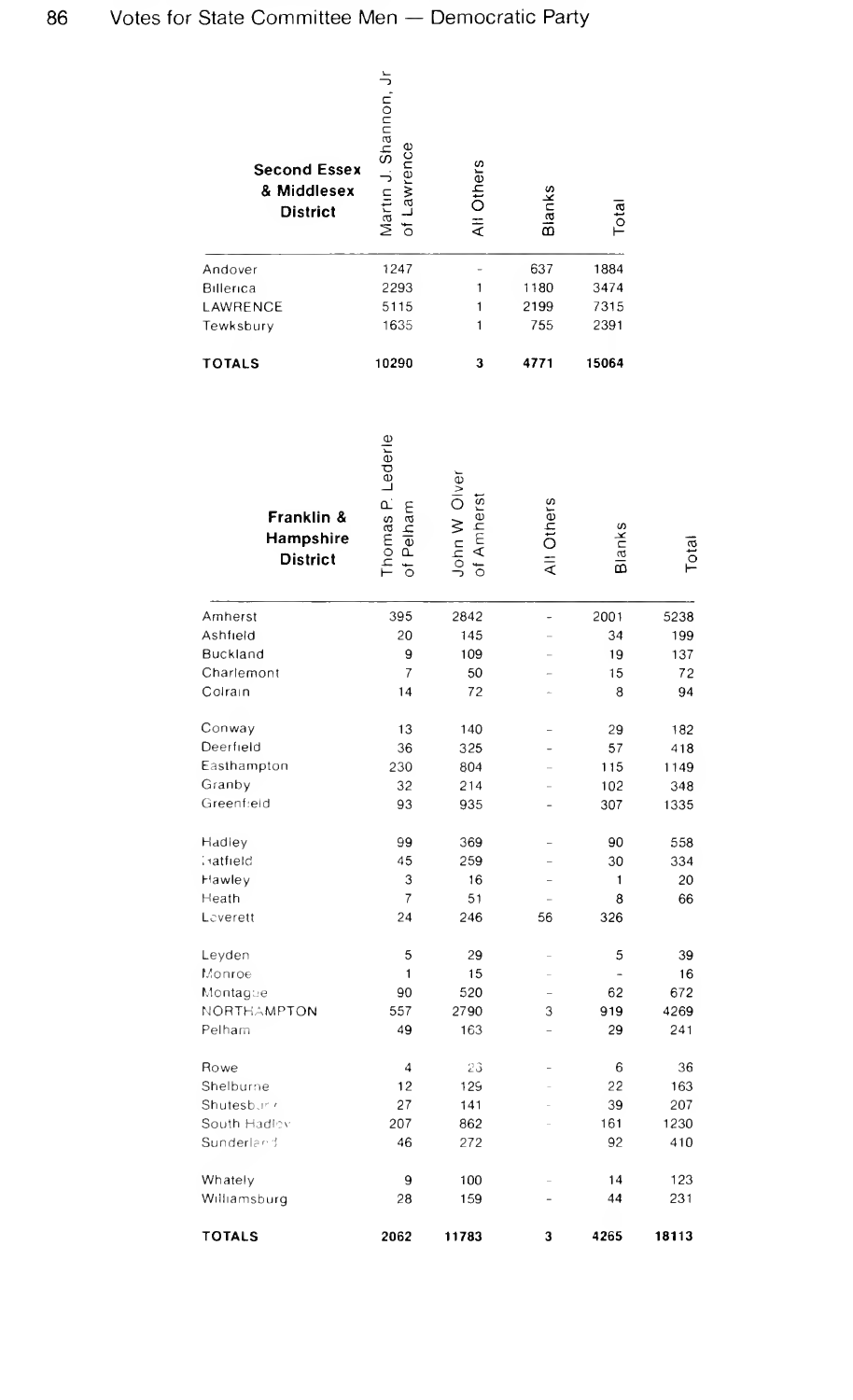| <b>Second Essex</b><br>& Middlesex<br><b>District</b>           | Martin J. Shannon, Jr<br>of Lawrence    | All Others                      | Blanks                     | Total                         |                                   |
|-----------------------------------------------------------------|-----------------------------------------|---------------------------------|----------------------------|-------------------------------|-----------------------------------|
| Andover<br>Billerica<br>LAWRENCE<br>Tewksbury                   | 1247<br>2293<br>5115<br>1635            | i,<br>1<br>1<br>1               | 637<br>1180<br>2199<br>755 | 1884<br>3474<br>7315<br>2391  |                                   |
| <b>TOTALS</b>                                                   | 10290                                   | 3                               | 4771                       | 15064                         |                                   |
| Franklin &<br>Hampshire<br><b>District</b>                      | Thomas P. Lederle<br>of Pelham          | John W Olver<br>of Amherst      | All Others                 | Blanks                        | Total                             |
| Amherst<br>Ashfield<br><b>Buckland</b><br>Charlemont<br>Colrain | 395<br>20<br>9<br>7<br>14               | 2842<br>145<br>109<br>50<br>72  | J.<br>L                    | 2001<br>34<br>19<br>15<br>8   | 5238<br>199<br>137<br>72<br>94    |
| Conway<br>Deerfield<br>Easthampton<br>Granby<br>Greenf:eld      | 13<br>36<br>230<br>32<br>93             | 140<br>325<br>804<br>214<br>935 |                            | 29<br>57<br>115<br>102<br>307 | 182<br>418<br>1149<br>348<br>1335 |
| Hadley<br>i iatfield<br>Hawley<br>Heath<br>Laverett             | 99<br>45<br>3<br>$\overline{7}$<br>24   | 369<br>259<br>16<br>51<br>246   | 56                         | 90<br>30<br>1<br>8<br>326     | 558<br>334<br>20<br>66            |
| Leyden<br>Monroe<br>Montagee<br>NORTHAMPTON<br>Pelham           | 5<br>1<br>90<br>557<br>49               | 29<br>15<br>520<br>2790<br>163  | 3                          | 5<br>i.<br>62<br>919<br>29    | 39<br>16<br>672<br>4269<br>241    |
| Rowe<br>Shelburne<br>Shutesbur r<br>South Hadley<br>Sunderland  | $\overline{4}$<br>12<br>27<br>207<br>46 | 23<br>129<br>141<br>862<br>272  |                            | 6<br>22<br>39<br>161<br>92    | 36<br>163<br>207<br>1230<br>410   |
| Whately<br>Williamsburg                                         | 9<br>28                                 | 100<br>159                      |                            | 14<br>44                      | 123<br>231                        |
| <b>TOTALS</b>                                                   | 2062                                    | 11783                           | 3                          | 4265                          | 18113                             |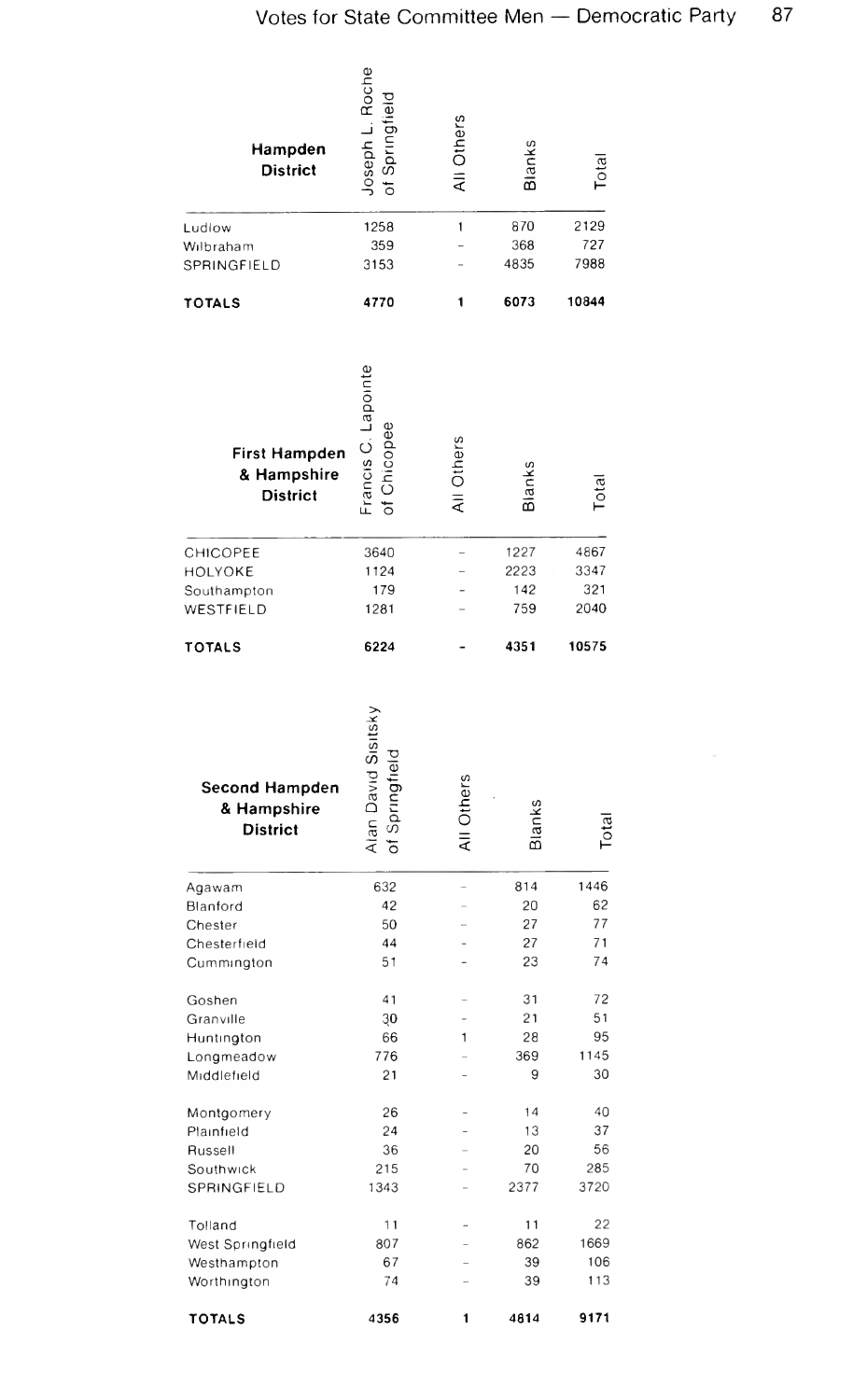| Hampden<br><b>District</b>                              | Joseph L. Roche<br>of Springfield     | Jihers     | <b>Blanks</b> | Total |
|---------------------------------------------------------|---------------------------------------|------------|---------------|-------|
| Ludiow                                                  | 1258                                  | 1          | 870           | 2129  |
| Wilbraham                                               | 359                                   |            | 368           | 727   |
| SPRINGFIELD                                             | 3153                                  |            | 4835          | 7988  |
| <b>TOTALS</b>                                           | 4770                                  | 1          | 6073          | 10844 |
| <b>First Hampden</b><br>& Hampshire<br><b>District</b>  | Francis C. Lapointe<br>Chicopee       | All Others | Blanks        | Total |
| CHICOPEE                                                | 3640                                  |            | 1227          | 4867  |
| HOLYOKE                                                 | 1124                                  |            | 2223          | 3347  |
| Southampton                                             | 179                                   |            | 142           | 321   |
| WESTFIELD                                               | 1281                                  |            | 759           | 2040  |
| <b>TOTALS</b>                                           | 6224                                  |            | 4351          | 10575 |
| <b>Second Hampden</b><br>& Hampshire<br><b>District</b> | Atan David Sisitsky<br>of Springfield | All Others | Blanks        | Tota  |
| Agawam                                                  | 632                                   |            | 814           | 1446  |
| Blanford                                                | 42                                    |            | 20            | 62    |
| Chester                                                 | 50                                    |            | 27            | 77    |
| Chesterfield                                            | 44                                    |            | 27            | 71    |
| Cummington                                              | 51                                    |            | 23            | 74    |
| Goshen                                                  | 41                                    | 1          | 31            | 72    |
| Granville                                               | 30                                    |            | 21            | 51    |
| Huntington                                              | 66                                    |            | 28            | 95    |
| Longmeadow                                              | 776                                   |            | 369           | 1145  |
| Middlefield                                             | 21                                    |            | 9             | 30    |
| Montgomery                                              | 26                                    | -          | 14            | 40    |
| Plainfield                                              | 24                                    |            | 13            | 37    |
| Russell                                                 | 36                                    |            | 20            | 56    |
| Southwick                                               | 215                                   |            | 70            | 285   |
| SPRINGFIELD                                             | 1343                                  |            | 2377          | 3720  |
| Tolland                                                 | 11                                    |            | 11            | 22    |
| West Springfield                                        | 807                                   |            | 862           | 1669  |
| Westhampton                                             | 67                                    |            | 39            | 106   |
| Worthington                                             | 74                                    |            | 39            | 113   |
| <b>TOTALS</b>                                           | 4356                                  | 1          | 4814          | 9171  |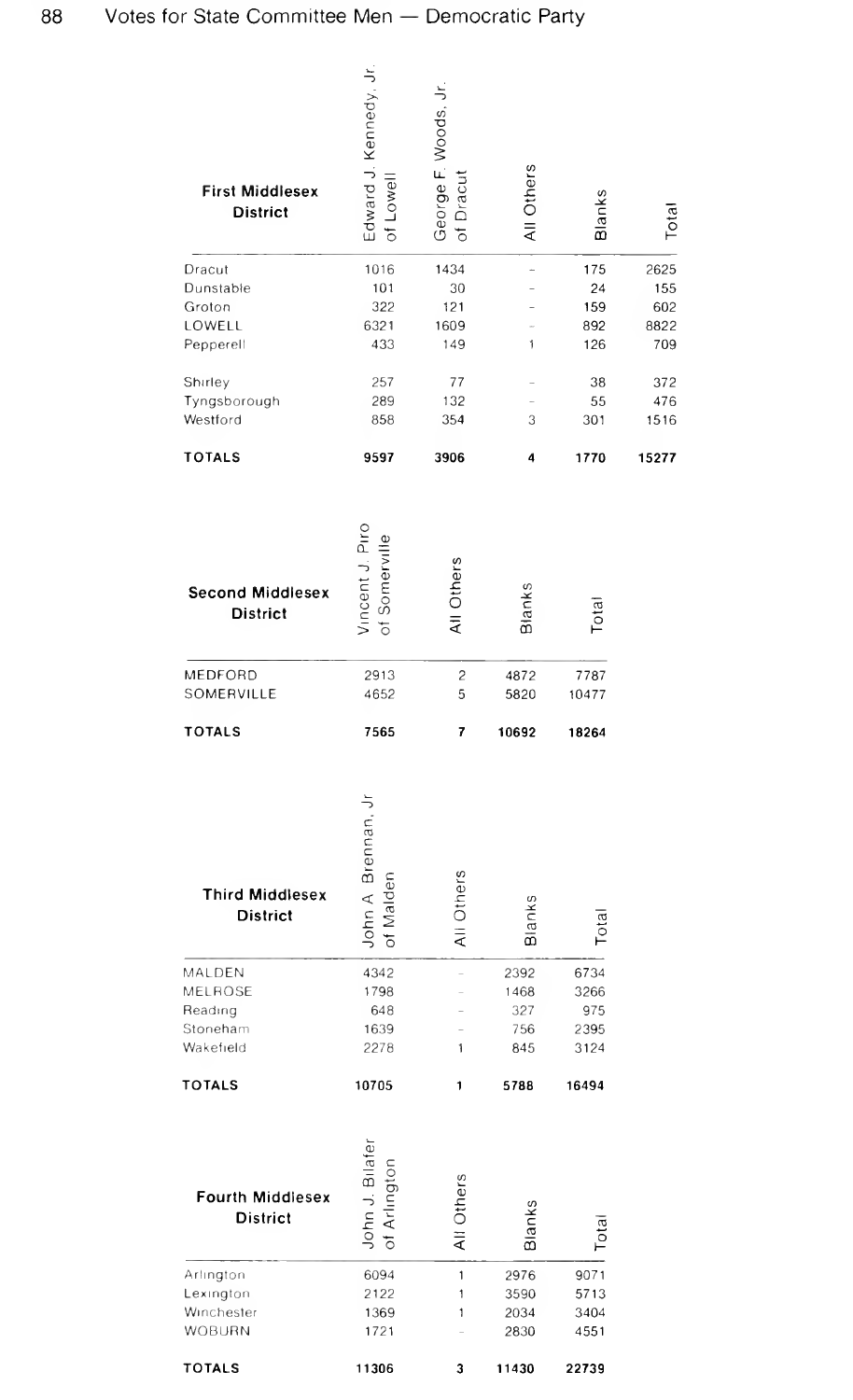| <b>First Middlesex</b><br><b>District</b>             | Edward J. Kennedy, Jr.<br>of Lowell | George F. Woods, Jr<br>of Dracut | All Others                        | Blanks                              | Total                             |
|-------------------------------------------------------|-------------------------------------|----------------------------------|-----------------------------------|-------------------------------------|-----------------------------------|
| Dracut<br>Dunstable<br>Groton<br>LOWELL<br>Pepperell  | 1016<br>101<br>322<br>6321<br>433   | 1434<br>30<br>121<br>1609<br>149 | 1                                 | 175<br>24<br>159<br>892<br>126      | 2625<br>155<br>602<br>8822<br>709 |
| Shirley<br>Tyngsborough<br>Westford                   | 257<br>289<br>858                   | 77<br>132<br>354                 | 3                                 | 38<br>55<br>301                     | 372<br>476<br>1516                |
| <b>TOTALS</b>                                         | 9597                                | 3906                             | 4                                 | 1770                                | 15277                             |
| <b>Second Middlesex</b><br><b>District</b>            | Vincent J. Piro<br>of Somerville    | All Others                       | Blanks                            | Total                               |                                   |
| MEDFORD<br>SOMERVILLE                                 | 2913<br>4652                        | $\overline{c}$<br>5              | 4872<br>5820                      | 7787<br>10477                       |                                   |
| <b>TOTALS</b>                                         | 7565                                | 7                                | 10692                             | 18264                               |                                   |
|                                                       |                                     |                                  |                                   |                                     |                                   |
| <b>Third Middlesex</b><br><b>District</b>             | John A Brennan, Jr<br>of Malden     | All Others                       | Blanks                            | Total                               |                                   |
| MALDEN<br>MELROSE<br>Reading<br>Stoneham<br>Wakefield | 4342<br>1798<br>648<br>1639<br>2278 | 1                                | 2392<br>1468<br>327<br>756<br>845 | 6734<br>3266<br>975<br>2395<br>3124 |                                   |
| <b>TOTALS</b>                                         | 10705                               | 1                                | 5788                              | 16494                               |                                   |
| <b>Fourth Middlesex</b><br><b>District</b>            | John J. Bilafer<br>of Arlington     | All Others                       | Blanks                            | Total                               |                                   |
| Arlington<br>Lexington<br>Winchester<br>WOBURN        | 6094<br>2122<br>1369<br>1721        | 1<br>1<br>1                      | 2976<br>3590<br>2034<br>2830      | 9071<br>5713<br>3404<br>4551        |                                   |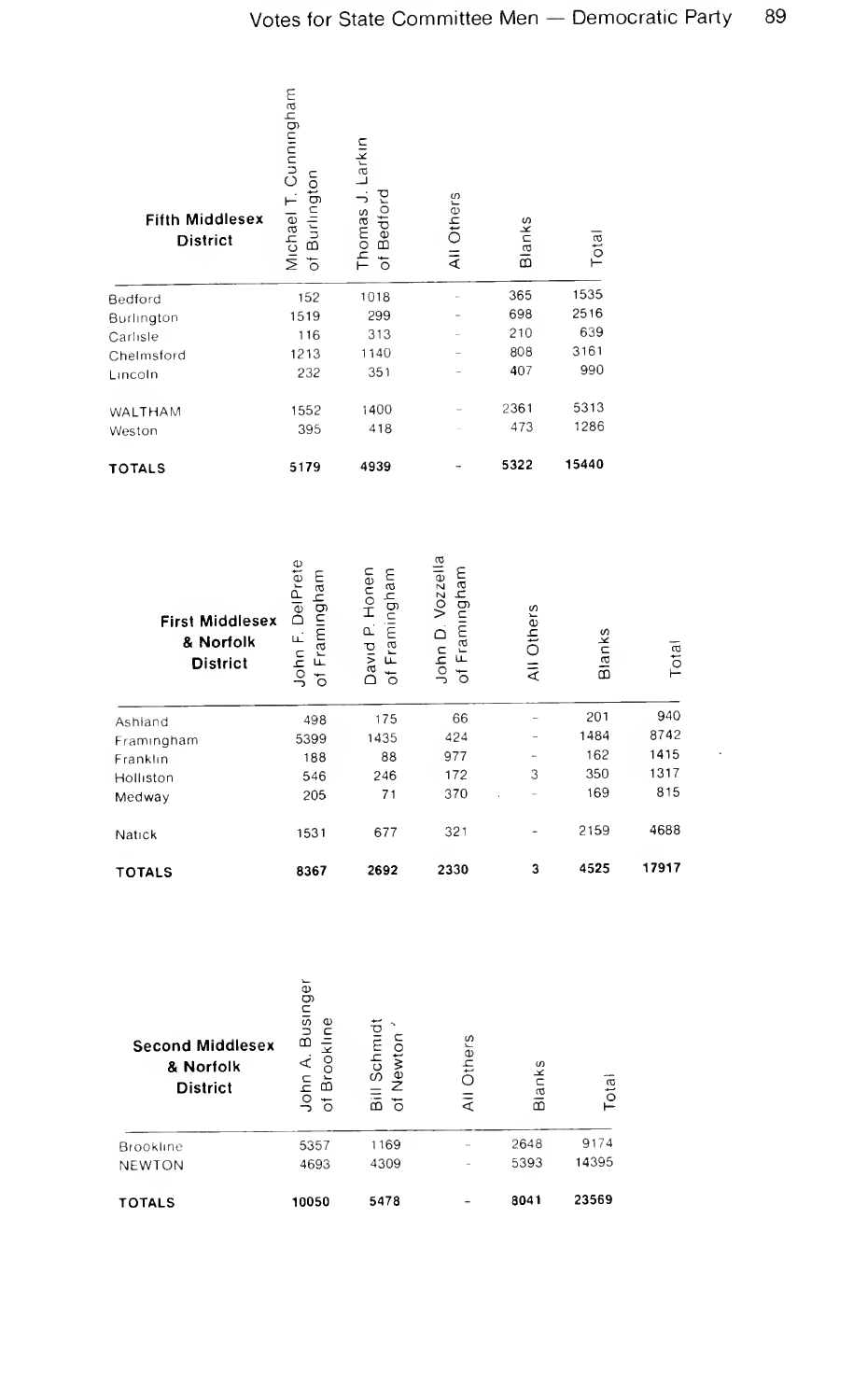| <b>Fifth Middlesex</b><br><b>District</b>                  | Michael T. Cunningham<br>of Burlington | Thomas J. Larkın<br>of Bedford    | All Others                        | Blanks                          | Total                              |                                    |
|------------------------------------------------------------|----------------------------------------|-----------------------------------|-----------------------------------|---------------------------------|------------------------------------|------------------------------------|
| Bedford<br>Burlington<br>Carlisle<br>Chelmsford<br>Lincoln | 152<br>1519<br>116<br>1213<br>232      | 1018<br>299<br>313<br>1140<br>351 | k,<br>Ļ                           | 365<br>698<br>210<br>808<br>407 | 1535<br>2516<br>639<br>3161<br>990 |                                    |
| WALTHAM<br>Weston                                          | 1552<br>395                            | 1400<br>418                       |                                   | 2361<br>473                     | 5313<br>1286                       |                                    |
| <b>TOTALS</b>                                              | 5179                                   | 4939                              |                                   | 5322                            | 15440                              |                                    |
| <b>First Middlesex</b><br>& Norfolk<br><b>District</b>     | John F. DelPrete<br>of Framingham      | David P. Honen<br>of Framingham   | John D. Vozzella<br>of Framingham | All Others                      | Blanks                             | Total                              |
| Ashland<br>Framingham<br>Franklin<br>Holliston<br>Medway   | 498<br>5399<br>188<br>546<br>205       | 175<br>1435<br>88<br>246<br>71    | 66<br>424<br>977<br>172<br>370    | 3                               | 201<br>1484<br>162<br>350<br>169   | 940<br>8742<br>1415<br>1317<br>815 |
| Natick                                                     | 1531                                   | 677                               | 321                               |                                 | 2159                               | 4688                               |
| <b>TOTALS</b>                                              | 8367                                   | 2692                              | 2330                              | 3                               | 4525                               | 17917                              |
| <b>Second Middlesex</b><br>& Norfolk<br><b>District</b>    | John A. Businger<br>of Brookline       | Bill Schmidt<br>of Newton         | All Others                        | Blanks                          | Total                              |                                    |
| Brookline<br>NEWTON                                        | 5357<br>4693                           | 1169<br>4309                      |                                   | 2648<br>5393                    | 9174<br>14395                      |                                    |
| <b>TOTALS</b>                                              | 10050                                  | 5478                              |                                   | 8041                            | 23569                              |                                    |
|                                                            |                                        |                                   |                                   |                                 |                                    |                                    |

 $\sim$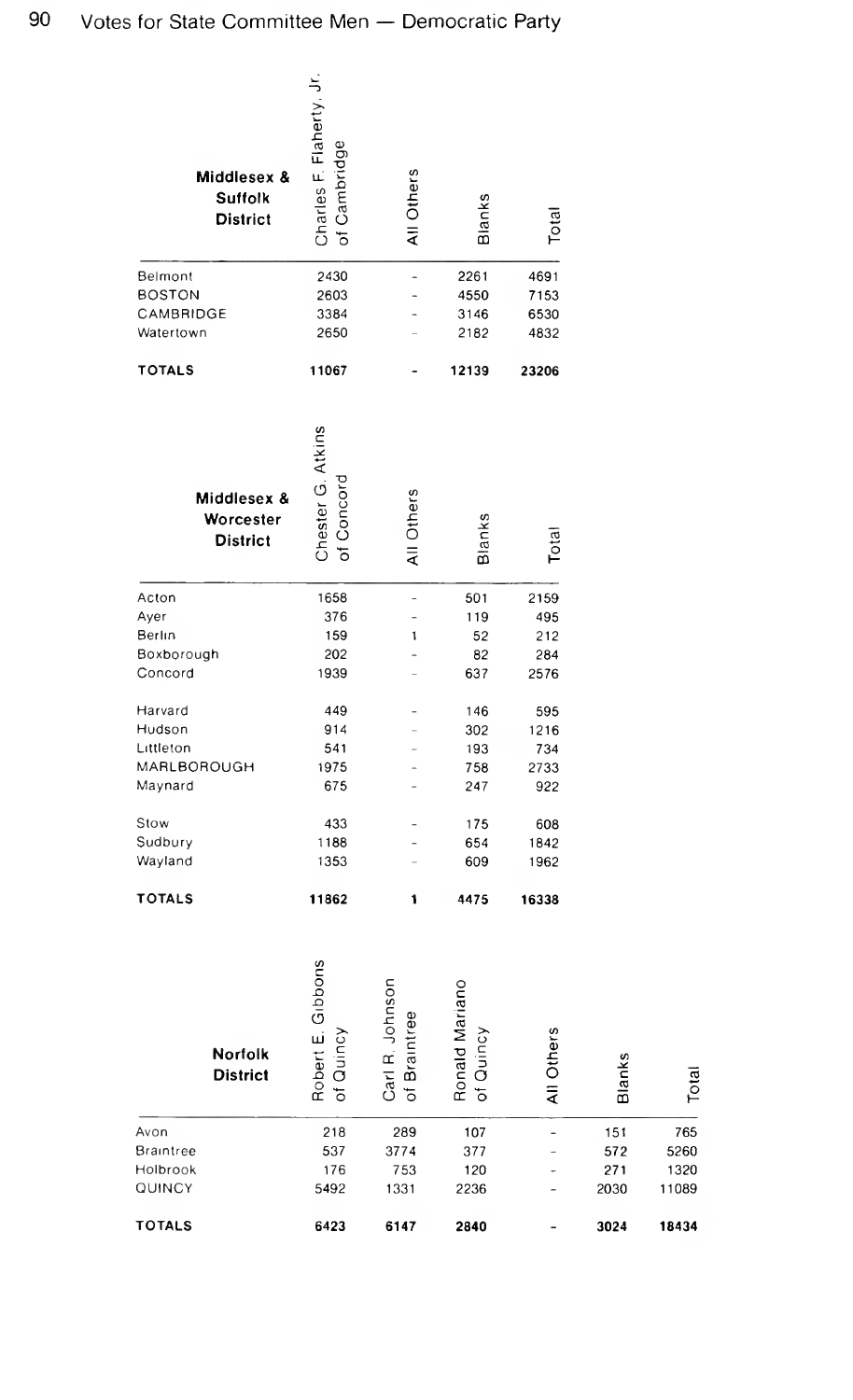| Middlesex &<br>Suffolk<br><b>District</b>                | Charles F. Flaherty, Jr.<br>of Cambridge | All Others                        | Blanks                          |                                   |                           |                              |
|----------------------------------------------------------|------------------------------------------|-----------------------------------|---------------------------------|-----------------------------------|---------------------------|------------------------------|
|                                                          |                                          |                                   |                                 | Total                             |                           |                              |
| Belmont<br><b>BOSTON</b><br>CAMBRIDGE<br>Watertown       | 2430<br>2603<br>3384<br>2650             | $\overline{a}$<br>i,              | 2261<br>4550<br>3146<br>2182    | 4691<br>7153<br>6530<br>4832      |                           |                              |
| <b>TOTALS</b>                                            | 11067                                    |                                   | 12139                           | 23206                             |                           |                              |
| Middlesex &<br>Worcester<br><b>District</b>              | Chester G. Atkins<br>of Concord          | All Others                        | Blanks                          | Total                             |                           |                              |
| Acton<br>Ayer<br>Berlin<br>Boxborough<br>Concord         | 1658<br>376<br>159<br>202<br>1939        | $\overline{a}$<br>i.<br>1         | 501<br>119<br>52<br>82<br>637   | 2159<br>495<br>212<br>284<br>2576 |                           |                              |
| Harvard<br>Hudson<br>Littleton<br>MARLBOROUGH<br>Maynard | 449<br>914<br>541<br>1975<br>675         |                                   | 146<br>302<br>193<br>758<br>247 | 595<br>1216<br>734<br>2733<br>922 |                           |                              |
| Stow<br>Sudbury<br>Wayland                               | 433<br>1188<br>1353                      |                                   | 175<br>654<br>609               | 608<br>1842<br>1962               |                           |                              |
| <b>TOTALS</b>                                            | 11862                                    | 1                                 | 4475                            | 16338                             |                           |                              |
| Norfolk<br><b>District</b>                               | Robert E. Gibbons<br>of Quincy           | Carl R. Johnson<br>Braintree<br>৳ | Ronald Mariano<br>of Quincy     | All Others                        | Blanks                    | Total                        |
| Avon<br>Braintree<br>Holbrook<br>QUINCY                  | 218<br>537<br>176<br>5492                | 289<br>3774<br>753<br>1331        | 107<br>377<br>120<br>2236       | ÷                                 | 151<br>572<br>271<br>2030 | 765<br>5260<br>1320<br>11089 |
| <b>TOTALS</b>                                            | 6423                                     | 6147                              | 2840                            |                                   | 3024                      | 18434                        |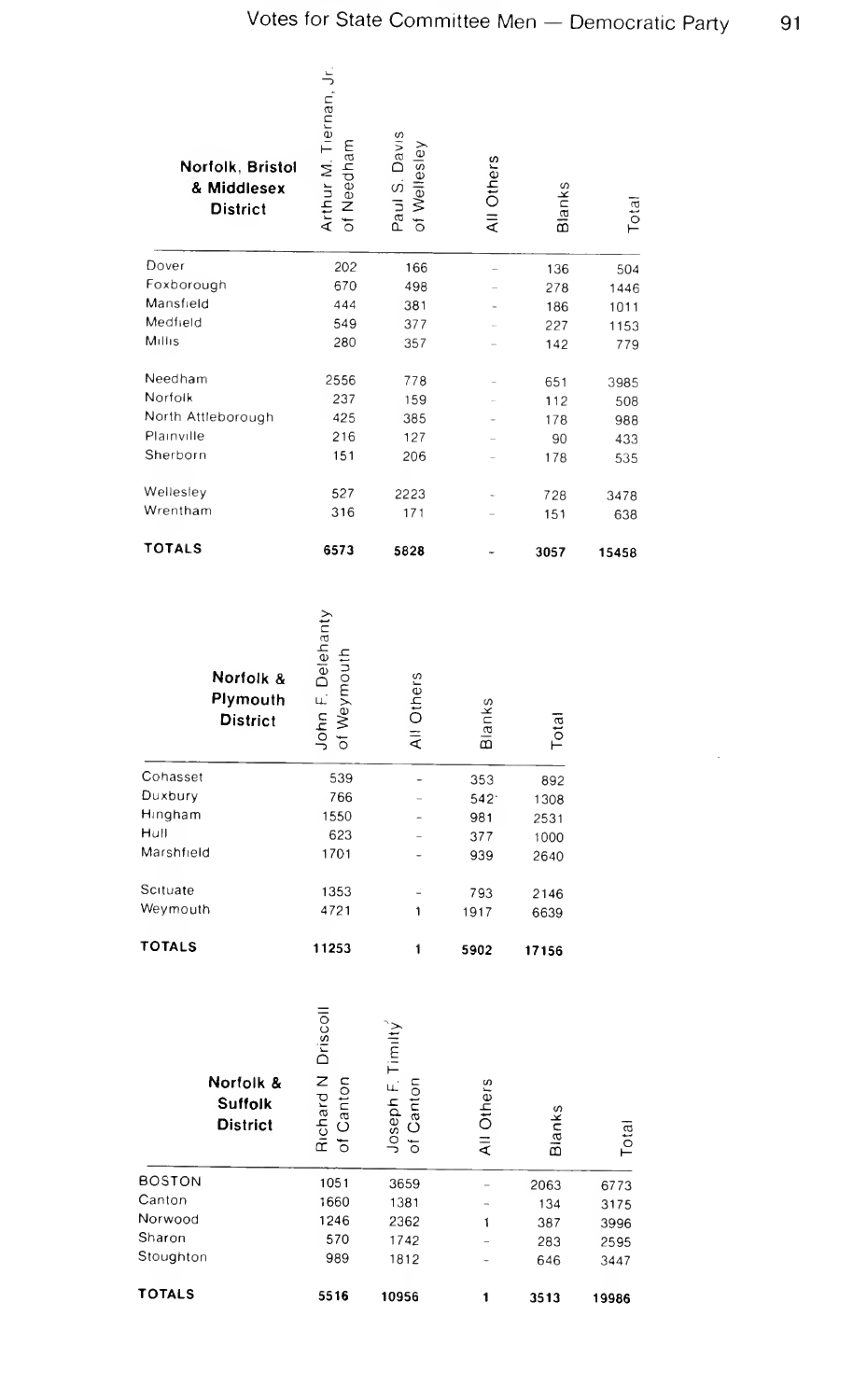| Norfolk, Bristol<br>& Middlesex<br><b>District</b> | Arthur M. Tiernan, Jr<br>of Needham                  | Paul S. Davis<br>of Wellesley       | All Others         | <b>Blanks</b>              | Total              |
|----------------------------------------------------|------------------------------------------------------|-------------------------------------|--------------------|----------------------------|--------------------|
| Dover                                              | 202                                                  | 166                                 |                    | 136                        | 504                |
| Foxborough                                         | 670                                                  | 498                                 |                    | 278                        | 1446               |
| Mansfield<br>Medfield                              | 444<br>549                                           | 381<br>377                          |                    | 186                        | 1011               |
| Millis                                             | 280                                                  | 357                                 |                    | 227<br>142                 | 1153<br>779        |
| Needham                                            | 2556                                                 | 778                                 |                    | 651                        | 3985               |
| Norfolk                                            | 237                                                  | 159                                 |                    | 112                        | 508                |
| North Attleborough                                 | 425                                                  | 385                                 |                    | 178                        | 988                |
| Plainville<br>Sherborn                             | 216<br>151                                           | 127<br>206                          |                    | 90<br>178                  | 433<br>535         |
| Wellesley<br>Wrentham                              | 527<br>316                                           | 2223<br>171                         |                    | 728<br>151                 | 3478<br>638        |
| <b>TOTALS</b>                                      | 6573                                                 | 5828                                |                    | 3057                       | 15458              |
| Norfolk &<br>Plymouth<br>District                  | John F. Delehanty<br>of Weymouth                     | All Others                          | Blanks             | Total                      |                    |
| Cohasset                                           | 539                                                  |                                     | 353                | 892                        |                    |
| Duxbury                                            | 766                                                  |                                     | 542                | 1308                       |                    |
| Hingham<br>Hull                                    | 1550<br>623                                          |                                     | 981                | 2531                       |                    |
| Marshfield                                         | 1701                                                 |                                     | 377<br>939         | 1000<br>2640               |                    |
| Scituate                                           | 1353                                                 |                                     | 793                | 2146                       |                    |
| Weymouth                                           | 4721                                                 | 1                                   | 1917               | 6639                       |                    |
| <b>TOTALS</b>                                      | 11253                                                | 1                                   | 5902               | 17156                      |                    |
| Norfolk &<br>Suffolk<br>District                   | lard N Driscol<br>conte:<br>$\overline{c}$<br>5<br>Œ | eph F. Timilty<br>anton<br>Jos<br>ㅎ | thers<br>$\bar{4}$ | iks<br>$\overline{a}$<br>m | $\overline{\circ}$ |
| <b>BOSTON</b>                                      | 1051                                                 | 3659                                |                    | 2063                       | 6773               |
| Canton<br>Norwood                                  | 1660<br>1246                                         | 1381<br>2362                        | 1                  | 134                        | 3175               |
| Sharon                                             | 570                                                  | 1742                                |                    | 387<br>283                 | 3996<br>2595       |
| Stoughton                                          | 989                                                  | 1812                                |                    | 646                        | 3447               |
| <b>TOTALS</b>                                      | 5516                                                 | 10956                               |                    | 3513                       | 19986              |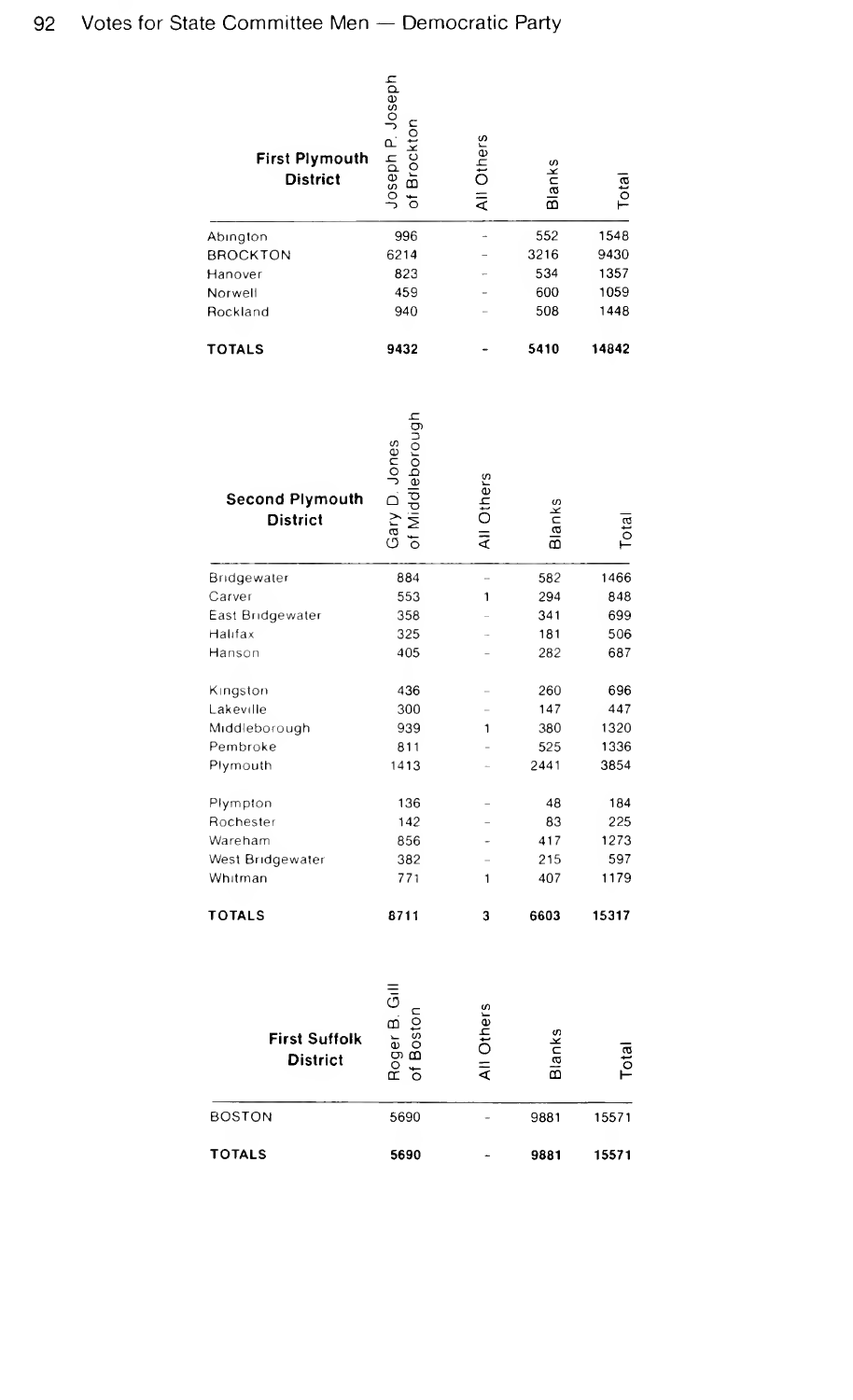| <b>First Plymouth</b><br><b>District</b>                      | asso<br>oseph P.J                | I Others     |                                  | ota                                  |
|---------------------------------------------------------------|----------------------------------|--------------|----------------------------------|--------------------------------------|
| Abington<br><b>BROCKTON</b><br>Hanover<br>Norwell<br>Rockland | 996<br>6214<br>823<br>459<br>940 |              | 552<br>3216<br>534<br>600<br>508 | 1548<br>9430<br>1357<br>1059<br>1448 |
| <b>TOTALS</b>                                                 | 9432                             |              | 5410                             | 14842                                |
| <b>Second Plymouth</b><br><b>District</b>                     | ot Middleboroug<br>Gary D. J     |              | œ                                | $\overline{\text{at}}$               |
| Bridgewater                                                   | 884                              | j.           | 582                              | 1466                                 |
| Carver                                                        | 553                              | 1            | 294                              | 848                                  |
| East Bridgewater                                              | 358                              |              | 341                              | 699                                  |
| Halifax<br>Hanson                                             | 325<br>405                       |              | 181<br>282                       | 506<br>687                           |
| Kingston                                                      | 436                              |              | 260                              | 696                                  |
| Lakeville                                                     | 300                              |              | 147                              | 447                                  |
| Middleborough                                                 | 939                              | 1            | 380                              | 1320                                 |
| Pembroke<br>Plymouth                                          | 811<br>1413                      |              | 525<br>2441                      | 1336<br>3854                         |
| Plympton                                                      | 136                              |              | 48                               | 184                                  |
| Rochester                                                     | 142                              |              | 83                               | 225                                  |
| Wareham                                                       | 856                              |              | 417                              | 1273                                 |
| West Bridgewater<br>Whitman                                   | 382<br>771                       | $\mathbf{1}$ | 215<br>407                       | 597<br>1179                          |
| <b>TOTALS</b>                                                 | 8711                             | 3            | 6603                             | 15317                                |
| <b>First Suffolk</b><br><b>District</b>                       | Roger B.                         |              | lanks                            | Total                                |
| BOSTON                                                        | 5690                             |              | 9881                             | 15571                                |
| <b>TOTALS</b>                                                 | 5690                             |              | 9881                             | 15571                                |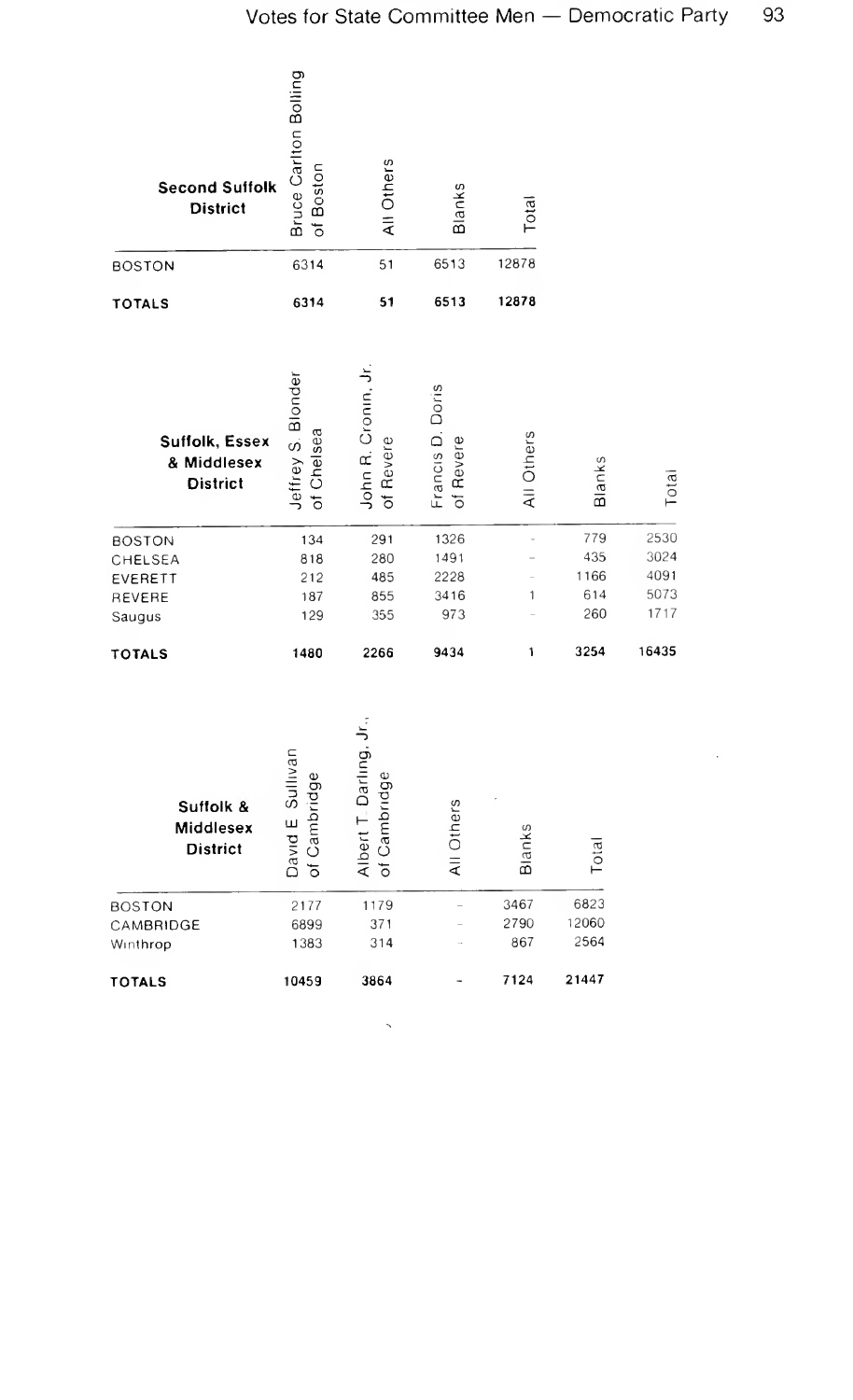| <b>Second Suffolk</b><br><b>District</b>                | Bruce Carlton Bolling<br>of Boston | All Others                              | Blanks                              | Total               |                                  |                                      |
|---------------------------------------------------------|------------------------------------|-----------------------------------------|-------------------------------------|---------------------|----------------------------------|--------------------------------------|
| <b>BOSTON</b>                                           | 6314                               | 51                                      | 6513                                | 12878               |                                  |                                      |
| <b>TOTALS</b>                                           | 6314                               | 51                                      | 6513                                | 12878               |                                  |                                      |
| Suffolk, Essex<br>& Middlesex<br><b>District</b>        | Jeffrey S. Blonder<br>of Chelsea   | John R. Cronin, Jr.<br>of Revere        | Francis D. Doris<br>of Revere       | All Others          | Blanks                           | Total                                |
| <b>BOSTON</b><br>CHELSEA<br>EVERETT<br>REVERE<br>Saugus | 134<br>818<br>212<br>187<br>129    | 291<br>280<br>485<br>855<br>355         | 1326<br>1491<br>2228<br>3416<br>973 | 1                   | 779<br>435<br>1166<br>614<br>260 | 2530<br>3024<br>4091<br>5073<br>1717 |
| <b>TOTALS</b>                                           | 1480                               | 2266                                    | 9434                                | 1                   | 3254                             | 16435                                |
| Suffolk &<br>Middlesex<br><b>District</b>               | David E Sullivan<br>of Cambridge   | Albert T. Darling, Jr.,<br>of Cambridge | All Others                          | Blanks              | Total                            |                                      |
| <b>BOSTON</b><br>CAMBRIDGE<br>Winthrop                  | 2177<br>6899<br>1383               | 1179<br>371<br>314                      |                                     | 3467<br>2790<br>867 | 6823<br>12060<br>2564            |                                      |
| <b>TOTALS</b>                                           | 10459                              | 3864                                    |                                     | 7124                | 21447                            |                                      |

 $\sim$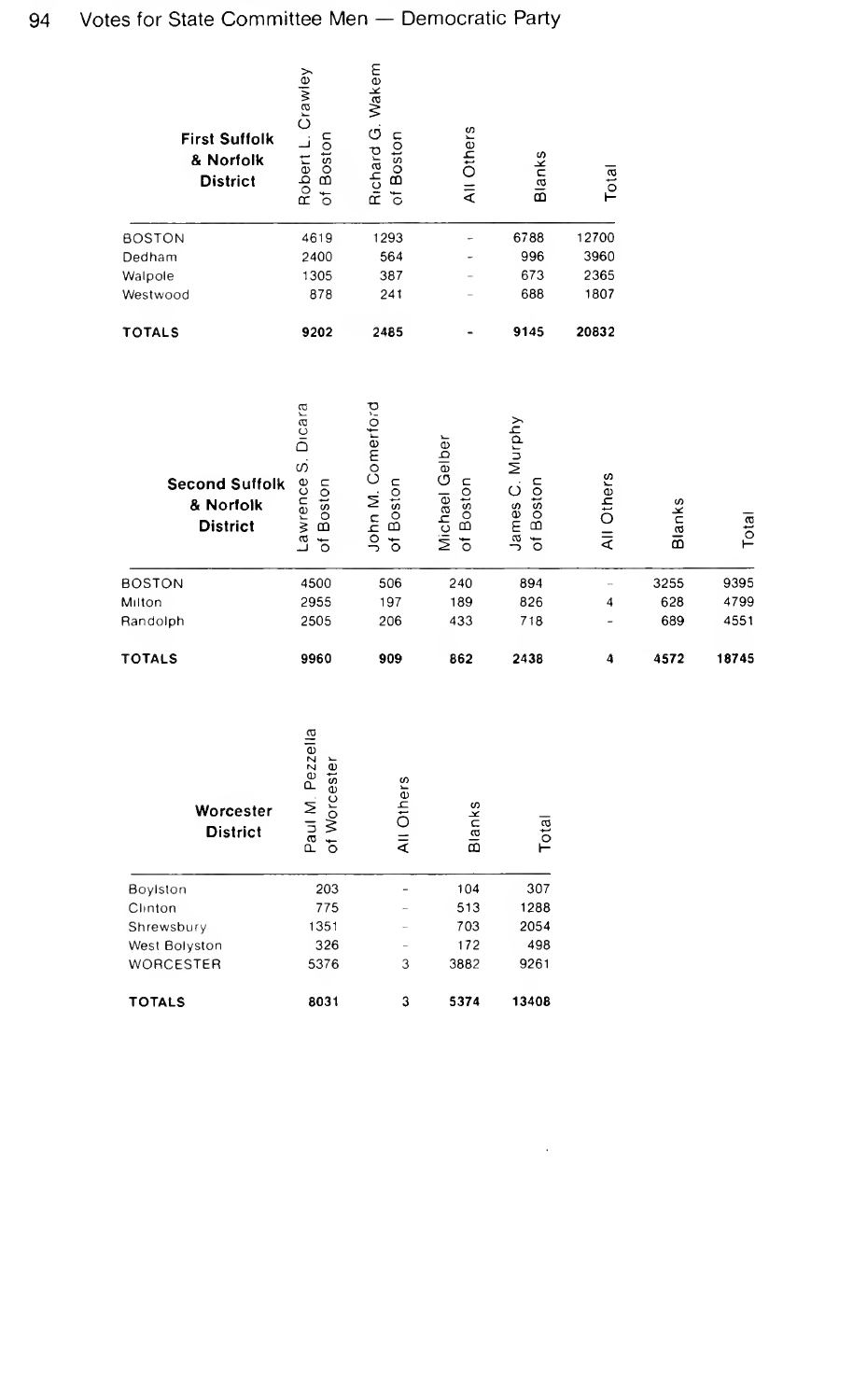| <b>First Suffolk</b><br>& Norfolk<br><b>District</b>  | Robert L. Crawley<br>of Boston   | Richard G. Wakem<br>of Boston  | All Others                  | Blanks                       | Total                         |             |              |
|-------------------------------------------------------|----------------------------------|--------------------------------|-----------------------------|------------------------------|-------------------------------|-------------|--------------|
| <b>BOSTON</b><br>Dedham<br>Walpole<br>Westwood        | 4619<br>2400<br>1305<br>878      | 1293<br>564<br>387<br>241      | ÷,<br>L                     | 6788<br>996<br>673<br>688    | 12700<br>3960<br>2365<br>1807 |             |              |
| <b>TOTALS</b>                                         | 9202                             | 2485                           |                             | 9145                         | 20832                         |             |              |
| <b>Second Suffolk</b><br>& Norfolk<br><b>District</b> | Lawrence S. Dicara<br>of Boston  | John M. Comerford<br>of Boston | Michael Gelber<br>of Boston | James C. Murphy<br>of Boston | All Others                    | Blanks      | Total        |
| <b>BOSTON</b><br>Milton                               | 4500<br>2955                     | 506<br>197                     | 240<br>189                  | 894<br>826                   | ÷,<br>4                       | 3255<br>628 | 9395<br>4799 |
| Randolph                                              | 2505                             | 206                            | 433                         | 718                          |                               | 689         | 4551         |
| <b>TOTALS</b>                                         | 9960                             | 909                            | 862                         | 2438                         | 4                             | 4572        | 18745        |
| Worcester<br><b>District</b>                          | Paul M. Pezzella<br>of Worcester | All Others                     | <b>Blanks</b>               | Total                        |                               |             |              |
| Boylston                                              | 203                              |                                | 104                         | 307                          |                               |             |              |
| Clinton<br>Shrewsbury                                 | 775<br>1351                      |                                | 513<br>703                  | 1288<br>2054                 |                               |             |              |
| West Bolyston                                         | 326                              |                                | 172                         | 498                          |                               |             |              |
| WORCESTER                                             | 5376                             | 3                              | 3882                        | 9261                         |                               |             |              |
| <b>TOTALS</b>                                         | 8031                             | 3                              | 5374                        | 13408                        |                               |             |              |

 $\mathcal{L}^{\mathcal{L}}$  , where  $\mathcal{L}^{\mathcal{L}}$  and  $\mathcal{L}^{\mathcal{L}}$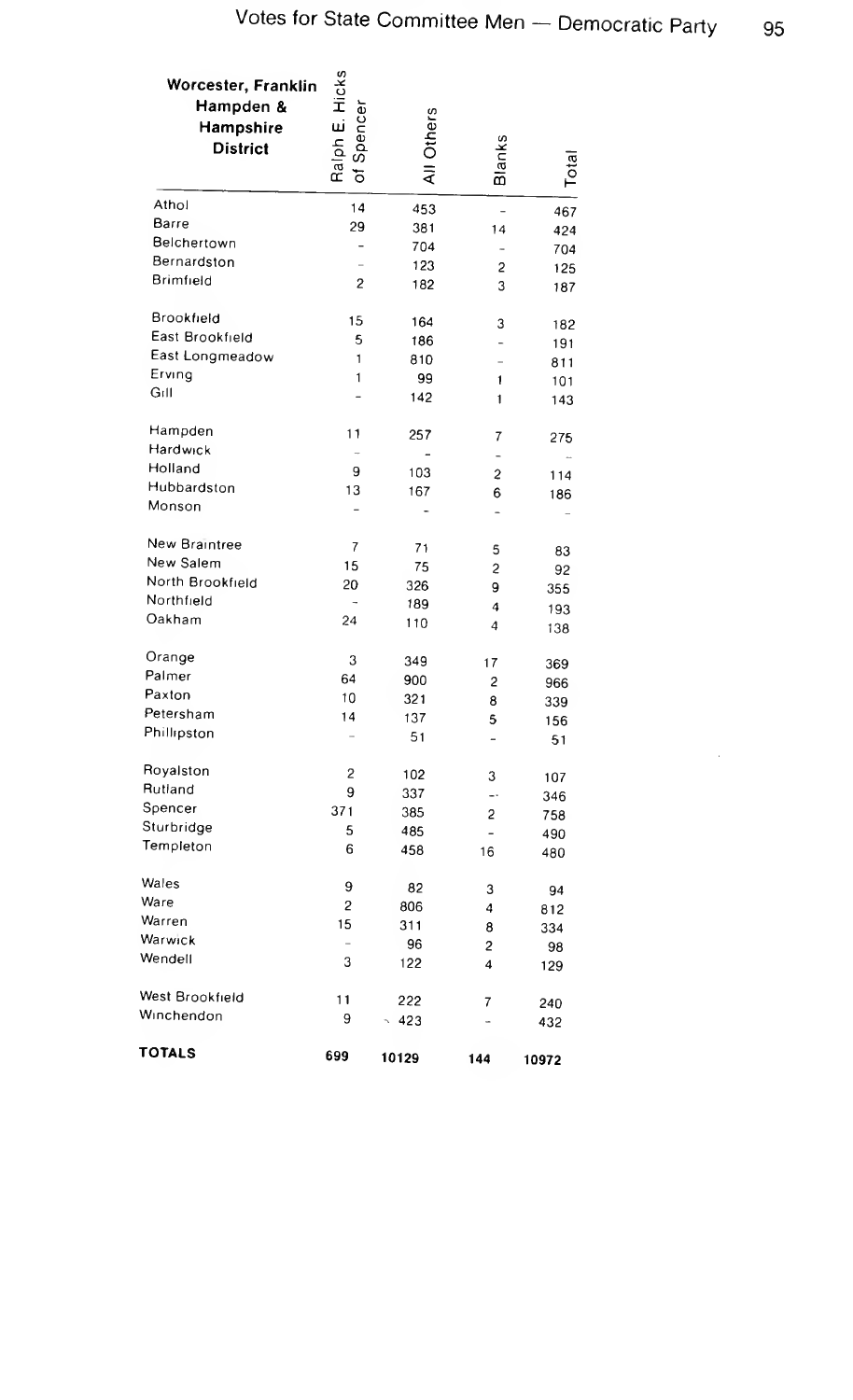| Worcester, Franklin<br>Hampden &<br>Hampshire<br><b>District</b> | Spencer<br>Raiph I<br>đ | ₹     | lanks<br>ត               | <b>Total</b> |
|------------------------------------------------------------------|-------------------------|-------|--------------------------|--------------|
| Athol                                                            | 14                      | 453   | Ĭ.                       | 467          |
| Barre                                                            | 29                      | 381   | 14                       | 424          |
| Belchertown                                                      | ÷                       | 704   | $\frac{1}{2}$            | 704          |
| Bernardston                                                      |                         | 123   | $\overline{c}$           | 125          |
| Brimfield                                                        | $\overline{c}$          | 182   | 3                        | 187          |
| Brookfield                                                       | 15                      | 164   | 3                        | 182          |
| East Brookfield                                                  | 5                       | 186   | $\overline{a}$           | 191          |
| East Longmeadow                                                  | 1                       | 810   | ÷,                       | 811          |
| Erving                                                           | $\mathbf{1}$            | 99    | 1                        | 101          |
| Gill                                                             | ä,                      | 142   | 1                        | 143          |
| Hampden                                                          | 11                      | 257   | 7                        | 275          |
| Hardwick                                                         | i,                      | L,    | $\overline{a}$           |              |
| Holland                                                          | 9                       | 103   | $\overline{a}$           | 114          |
| Hubbardston                                                      | 13                      | 167   | 6                        | 186          |
| Monson                                                           | $\overline{a}$          |       | $\overline{a}$           |              |
| New Braintree                                                    | 7                       | 71    | 5                        | 83           |
| New Salem                                                        | 15                      | 75    | 2                        | 92           |
| North Brookfield                                                 | 20                      | 326   | 9                        | 355          |
| Northfield                                                       |                         | 189   | 4                        | 193          |
| Oakham                                                           | 24                      | 110   | 4                        | 138          |
| Orange                                                           | 3                       | 349   | 17                       | 369          |
| Palmer                                                           | 64                      | 900   | 2                        | 966          |
| Paxton                                                           | 10                      | 321   | 8                        | 339          |
| Petersham                                                        | 14                      | 137   | 5                        | 156          |
| Phillipston                                                      |                         | 51    | ÷,                       | 51           |
| Royalston                                                        | $\overline{c}$          | 102   | 3                        | 107          |
| Rutland                                                          | 9                       | 337   | L.                       | 346          |
| Spencer                                                          | 371                     | 385   | 2                        | 758          |
| Sturbridge                                                       | 5                       | 485   | $\overline{\phantom{0}}$ | 490          |
| Templeton                                                        | 6                       | 458   | 16                       | 480          |
| Wales                                                            | 9                       | 82    | 3                        | 94           |
| Ware                                                             | $\overline{c}$          | 806   | 4                        | 812          |
| Warren                                                           | 15                      | 311   | 8                        | 334          |
| Warwick                                                          | ÷,                      | 96    | $\overline{c}$           | 98           |
| Wendell                                                          | 3                       | 122   | 4                        | 129          |
| West Brookfield                                                  | 11                      | 222   | 7                        | 240          |
| Winchendon                                                       | 9                       | 423   |                          | 432          |
| <b>TOTALS</b>                                                    | 699                     | 10129 | 144                      | 10972        |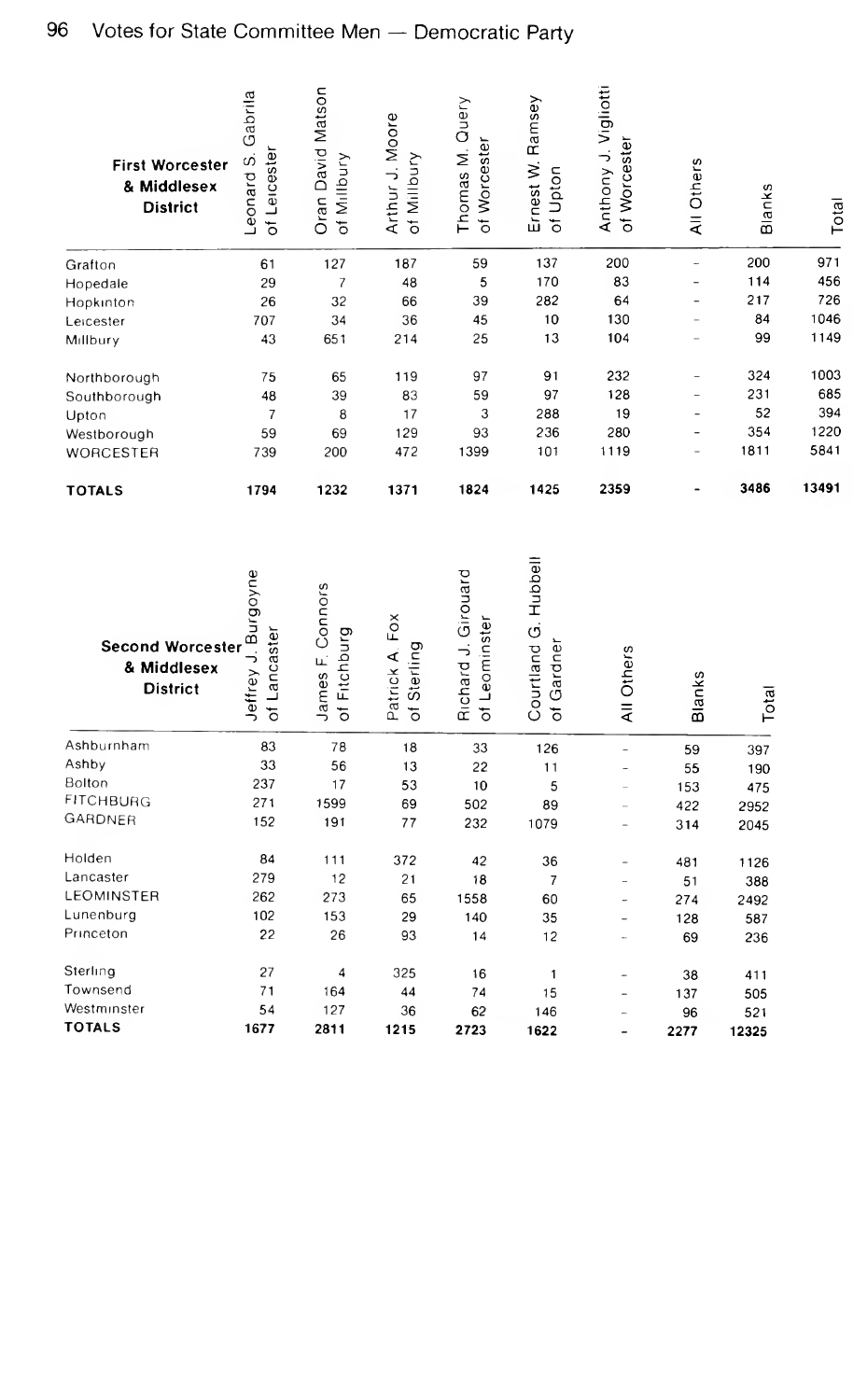## <sup>96</sup> Votes for State Committee Men — Democratic Party

| <b>First Worcester</b><br>& Middlesex<br><b>District</b>  | Leonard S. Gabrila<br>of Leicester  | Oran David Matson<br>of Millbury | Arthur J. Moore<br>of Millbury | Thomas M. Query<br>of Worcester      | Ernest W. Ramsey<br>of Upton       | Anthony J. Vigliotti<br>of Worcester | All Others               | Blanks | Total |
|-----------------------------------------------------------|-------------------------------------|----------------------------------|--------------------------------|--------------------------------------|------------------------------------|--------------------------------------|--------------------------|--------|-------|
| Grafton                                                   | 61                                  | 127                              | 187                            | 59                                   | 137                                | 200                                  | $\overline{\phantom{m}}$ | 200    | 971   |
| Hopedale                                                  | 29                                  | 7                                | 48                             | 5                                    | 170                                | 83                                   | $\frac{1}{2}$            | 114    | 456   |
| Hopkinton                                                 | 26                                  | 32                               | 66                             | 39                                   | 282                                | 64                                   |                          | 217    | 726   |
| Leicester                                                 | 707                                 | 34                               | 36                             | 45                                   | 10                                 | 130                                  |                          | 84     | 1046  |
| Millbury                                                  | 43                                  | 651                              | 214                            | 25                                   | 13                                 | 104                                  |                          | 99     | 1149  |
| Northborough                                              | 75                                  | 65                               | 119                            | 97                                   | 91                                 | 232                                  | L.                       | 324    | 1003  |
| Southborough                                              | 48                                  | 39                               | 83                             | 59                                   | 97                                 | 128                                  |                          | 231    | 685   |
| Upton                                                     | $\overline{7}$                      | 8                                | 17                             | 3                                    | 288                                | 19                                   |                          | 52     | 394   |
| Westborough                                               | 59                                  | 69                               | 129                            | 93                                   | 236                                | 280                                  | L,                       | 354    | 1220  |
| WORCESTER                                                 | 739                                 | 200                              | 472                            | 1399                                 | 101                                | 1119                                 | L,                       | 1811   | 5841  |
| <b>TOTALS</b>                                             | 1794                                | 1232                             | 1371                           | 1824                                 | 1425                               | 2359                                 |                          | 3486   | 13491 |
| <b>Second Worcester</b><br>& Middlesex<br><b>District</b> | Jeffrey J. Burgoyne<br>of Lancaster | James F. Connors<br>of Fitchburg | Patrick A. Fox<br>of Sterling  | Richard J. Girouard<br>of Leominster | Courtland G. Hubbell<br>of Gardner | All Others                           | Blanks                   | Total  |       |
| Ashburnham                                                | 83                                  | 78                               | 18                             | 33                                   | 126                                | $\overline{a}$                       | 59                       | 397    |       |
| Ashby                                                     | 33                                  | 56                               | 13                             | 22                                   | 11                                 |                                      | 55                       | 190    |       |
| Bolton                                                    | 237                                 | 17                               | 53                             | 10                                   | 5                                  |                                      | 153                      | 475    |       |
| FITCHBURG                                                 | 271                                 | 1599                             | 69                             | 502                                  | 89                                 |                                      | 422                      | 2952   |       |
| GARDNER                                                   | 152                                 | 191                              | 77                             | 232                                  | 1079                               |                                      | 314                      | 2045   |       |
| Holden                                                    | 84                                  | 111                              | 372                            | 42                                   | 36                                 | L,                                   | 481                      | 1126   |       |
| Lancaster                                                 | 279                                 | 12                               | 21                             | 18                                   | $\overline{7}$                     |                                      | 51                       | 388    |       |
| LEOMINSTER                                                | 262                                 | 273                              | 65                             | 1558                                 | 60                                 |                                      | 274                      | 2492   |       |
| Lunenburg                                                 | 102                                 | 153                              | 29                             | 140                                  | 35                                 |                                      | 128                      | 587    |       |
| Princeton                                                 | 22                                  | 26                               | 93                             | 14                                   | 12                                 |                                      | 69                       | 236    |       |
| Sterling                                                  | 27                                  | 4                                | 325                            | 16                                   | $\mathbf{1}$                       |                                      | 38                       | 411    |       |
| Townsend                                                  | 71                                  | 164                              | 44                             | 74                                   | 15                                 |                                      | 137                      | 505    |       |
| Westminster                                               | 54                                  | 127                              | 36                             | 62                                   | 146                                |                                      | 96                       | 521    |       |
| <b>TOTALS</b>                                             | 1677                                | 2811                             | 1215                           | 2723                                 | 1622                               | Ĭ.                                   | 2277                     | 12325  |       |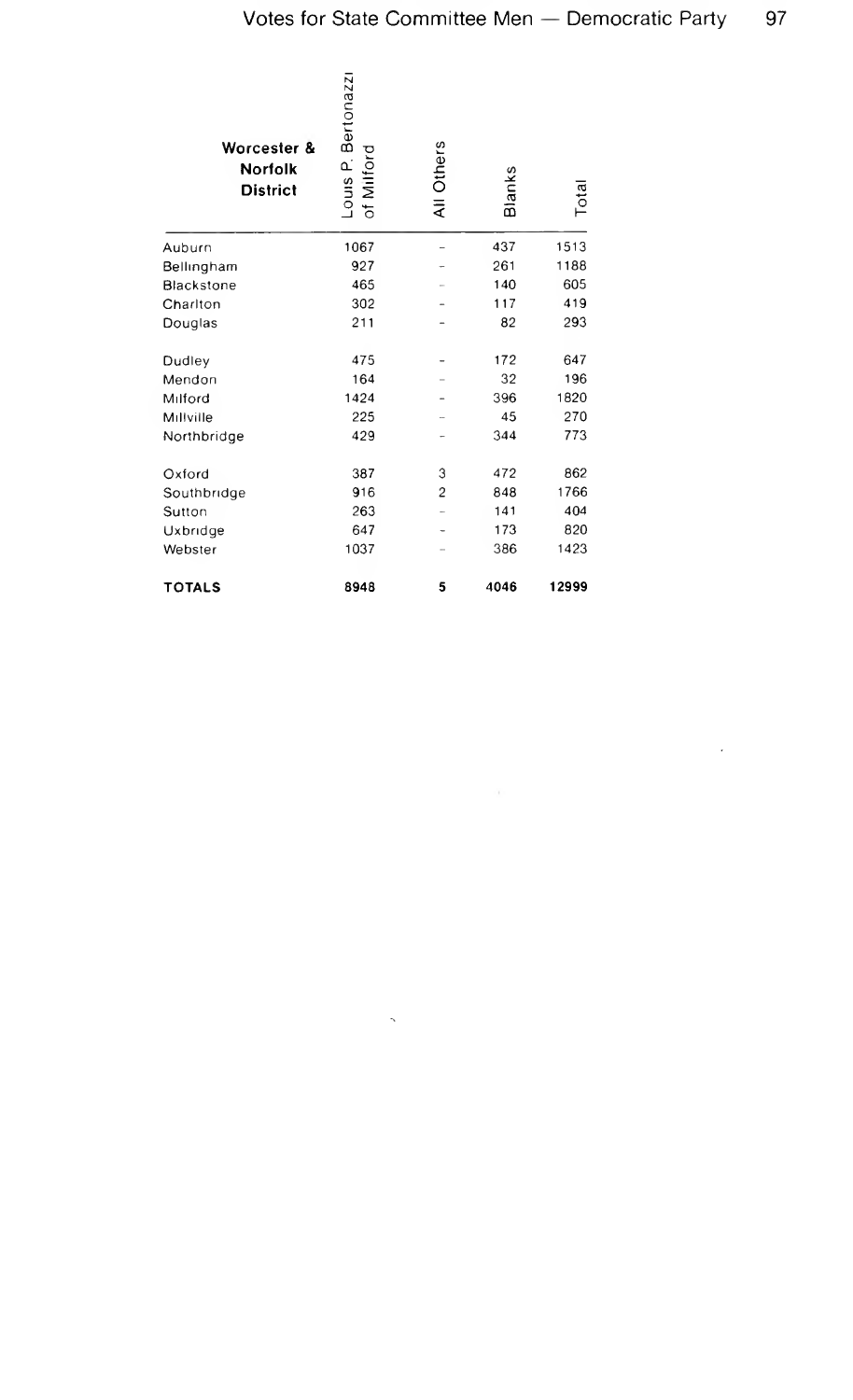| Worcester &<br>Norfolk<br><b>District</b> | Louis P. Bertonazzi<br>of Milford | All Others     | Blanks | Total |
|-------------------------------------------|-----------------------------------|----------------|--------|-------|
| Auburn                                    | 1067                              |                | 437    | 1513  |
| Bellingham                                | 927                               |                | 261    | 1188  |
| Blackstone                                | 465                               |                | 140    | 605   |
| Charlton                                  | 302                               |                | 117    | 419   |
| Douglas                                   | 211                               |                | 82     | 293   |
| Dudley                                    | 475                               |                | 172    | 647   |
| Mendon                                    | 164                               |                | 32     | 196   |
| Milford                                   | 1424                              |                | 396    | 1820  |
| Millville                                 | 225                               |                | 45     | 270   |
| Northbridge                               | 429                               |                | 344    | 773   |
| Oxford                                    | 387                               | 3              | 472    | 862   |
| Southbridge                               | 916                               | $\overline{c}$ | 848    | 1766  |
| Sutton                                    | 263                               |                | 141    | 404   |
| Uxbridge                                  | 647                               |                | 173    | 820   |
| Webster                                   | 1037                              |                | 386    | 1423  |
| <b>TOTALS</b>                             | 8948                              | 5              | 4046   | 12999 |

 $\tilde{\phantom{a}}$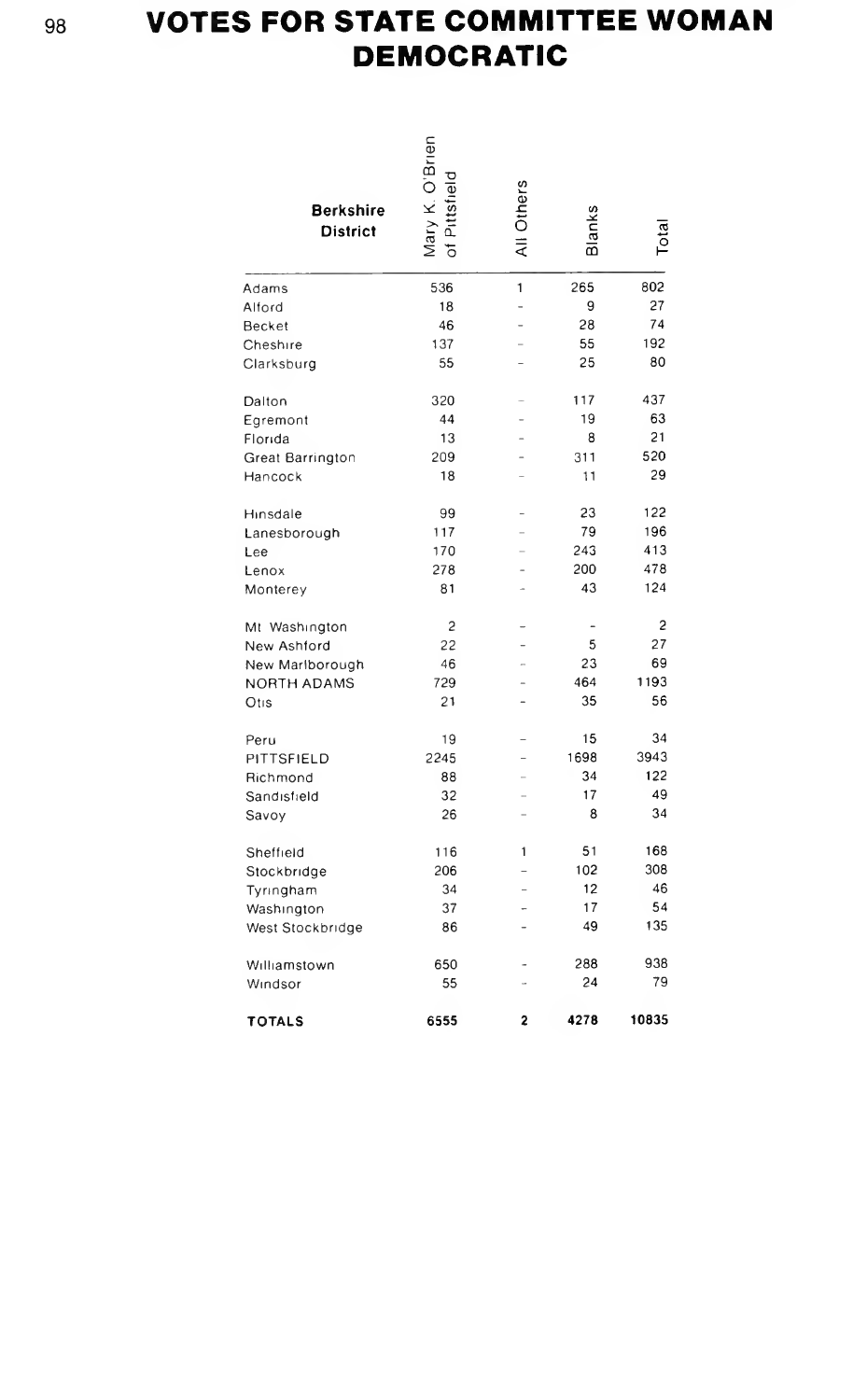## 98 VOTES FOR STATE COMMITTEE WOMAN DEMOCRATIC

| <b>Berkshire</b><br><b>District</b> | D'Brien<br>tsfield<br>Mary K.<br>i<br>D | <b>Dithers</b> | lanks    | <b>Tota</b> |
|-------------------------------------|-----------------------------------------|----------------|----------|-------------|
| Adams                               | 536                                     | $\mathbf{1}$   | 265      | 802         |
| Alford                              | 18                                      | $\overline{a}$ | 9        | 27          |
| Becket                              | 46                                      |                | 28       | 74          |
| Cheshire                            | 137                                     |                | 55       | 192         |
| Clarksburg                          | 55                                      |                | 25       | 80          |
| Dalton                              | 320                                     |                | 117      | 437         |
| Egremont                            | 44                                      |                | 19       | 63          |
| Florida                             | 13                                      |                | 8        | 21          |
| Great Barrington                    | 209                                     |                | 311      | 520<br>29   |
| Hancock                             | 18                                      |                | 11       |             |
| Hinsdale                            | 99                                      |                | 23       | 122         |
| Lanesborough                        | 117                                     |                | 79       | 196         |
| Lee                                 | 170                                     |                | 243      | 413         |
| Lenox                               | 278                                     |                | 200      | 478         |
| Monterey                            | 81                                      |                | 43       | 124         |
| Mt Washington                       | $\overline{c}$                          |                | ÷        | 2           |
| New Ashford                         | 22                                      |                | 5        | 27          |
| New Marlborough                     | 46                                      |                | 23       | 69          |
| <b>NORTH ADAMS</b>                  | 729                                     | L.             | 464      | 1193        |
| Otis                                | 21                                      |                | 35       | 56          |
| Peru                                | 19                                      |                | 15       | 34          |
| PITTSFIELD                          | 2245                                    |                | 1698     | 3943<br>122 |
| Richmond                            | 88                                      |                | 34<br>17 | 49          |
| Sandisfield                         | 32<br>26                                |                | 8        | 34          |
| Savoy                               |                                         |                |          |             |
| Sheffield                           | 116                                     | 1              | 51       | 168         |
| Stockbridge                         | 206                                     |                | 102      | 308         |
| Tyringham                           | 34                                      | L.             | 12       | 46          |
| Washington                          | 37                                      |                | 17       | 54          |
| West Stockbridge                    | 86                                      |                | 49       | 135         |
| Williamstown                        | 650                                     |                | 288      | 938         |
| Windsor                             | 55                                      |                | 24       | 79          |
| <b>TOTALS</b>                       | 6555                                    | $\overline{a}$ | 4278     | 10835       |